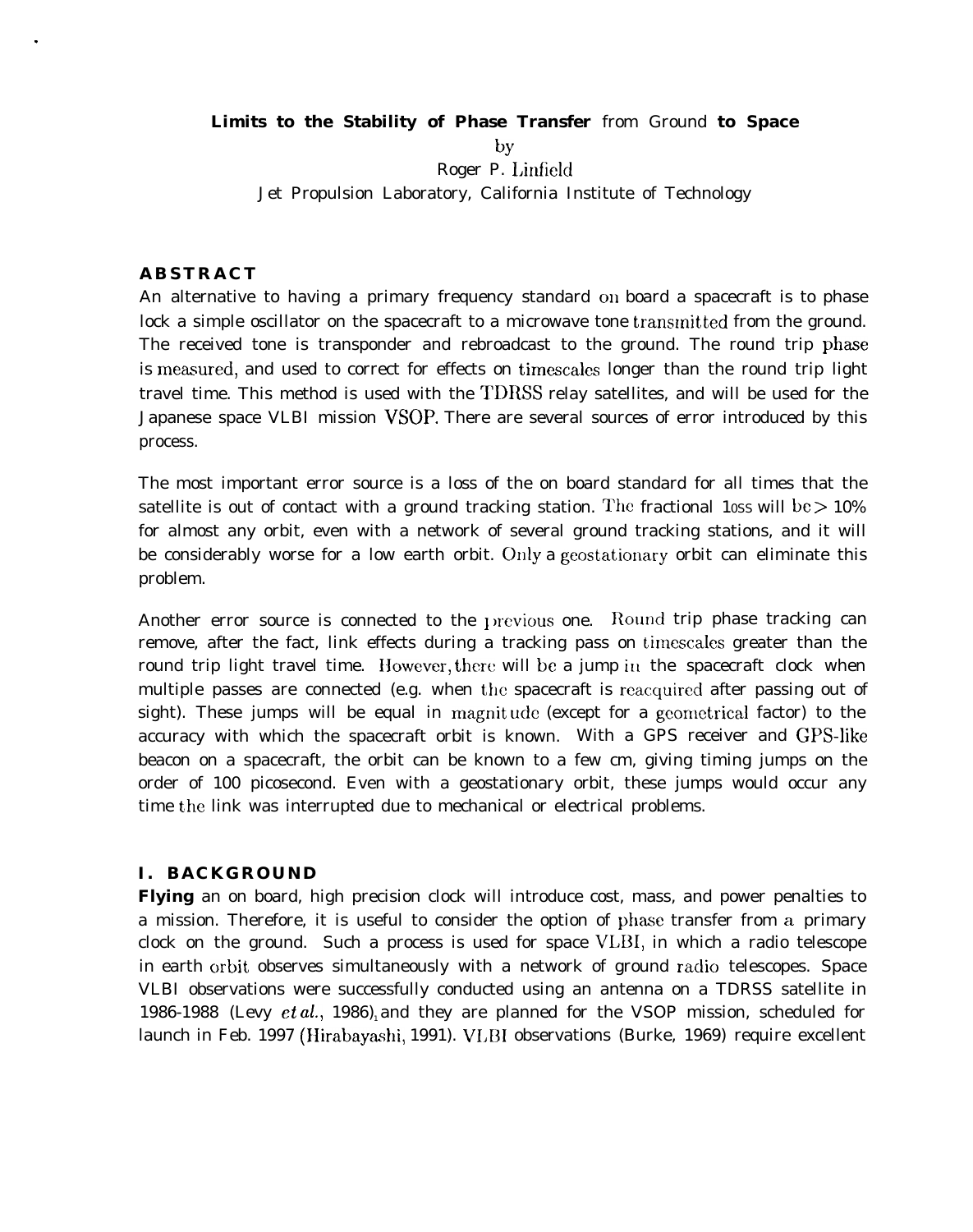**Limits to the Stability of Phase Transfer** from Ground **to Space**

**by** Roger P. Linfield Jet Propulsion Laboratory, California Institute of Technology

# **ABSTRACT**

.

An alternative to having a primary frequency standard on board a spacecraft is to phase lock a simple oscillator on the spacecraft to a microwave tone transmitted from the ground. The received tone is transponder and rebroadcast to the ground. The round trip phase is measured, and used to correct for effects on timescales longer than the round trip light travel time. This method is used with the TDRSS relay satellites, and will be used for the Japanese space VLBI mission VSOP. There are several sources of error introduced by this process.

The most important error source is a loss of the on board standard for all times that the satellite is out of contact with a ground tracking station. The fractional 10ss will be  $> 10\%$ for almost any orbit, even with a network of several ground tracking stations, and it will be considerably worse for a low earth orbit. Only a geostationary orbit can eliminate this problem.

Another error source is connected to the previous one. Round trip phase tracking can remove, after the fact, link effects during a tracking pass on timescales greater than the round trip light travel time. However, there will be a jump in the spacecraft clock when multiple passes are connected (e.g. when the spacecraft is reacquired after passing out of sight). These jumps will be equal in magnitude (except for a geometrical factor) to the accuracy with which the spacecraft orbit is known. With a GPS receiver and GPS-like beacon on a spacecraft, the orbit can be known to a few cm, giving timing jumps on the order of 100 picosecond. Even with a geostationary orbit, these jumps would occur any time the link was interrupted due to mechanical or electrical problems.

# **I. BACKGROUND**

**Flying** an on board, high precision clock will introduce cost, mass, and power penalties to a mission. Therefore, it is useful to consider the option of phasse transfer from a primary clock on the ground. Such a process is used for space VLBI, in which a radio telescope in earth orbit observes simultaneously with a network of ground radio telescopes. Space VLBI observations were successfully conducted using an antenna on a TDRSS satellite in 1986-1988 (Levy  $et al., 1986$ ), and they are planned for the VSOP mission, scheduled for launch in Feb. 1997 (Hirabayashi, 1991). VLBI observations (Burke, 1969) require excellent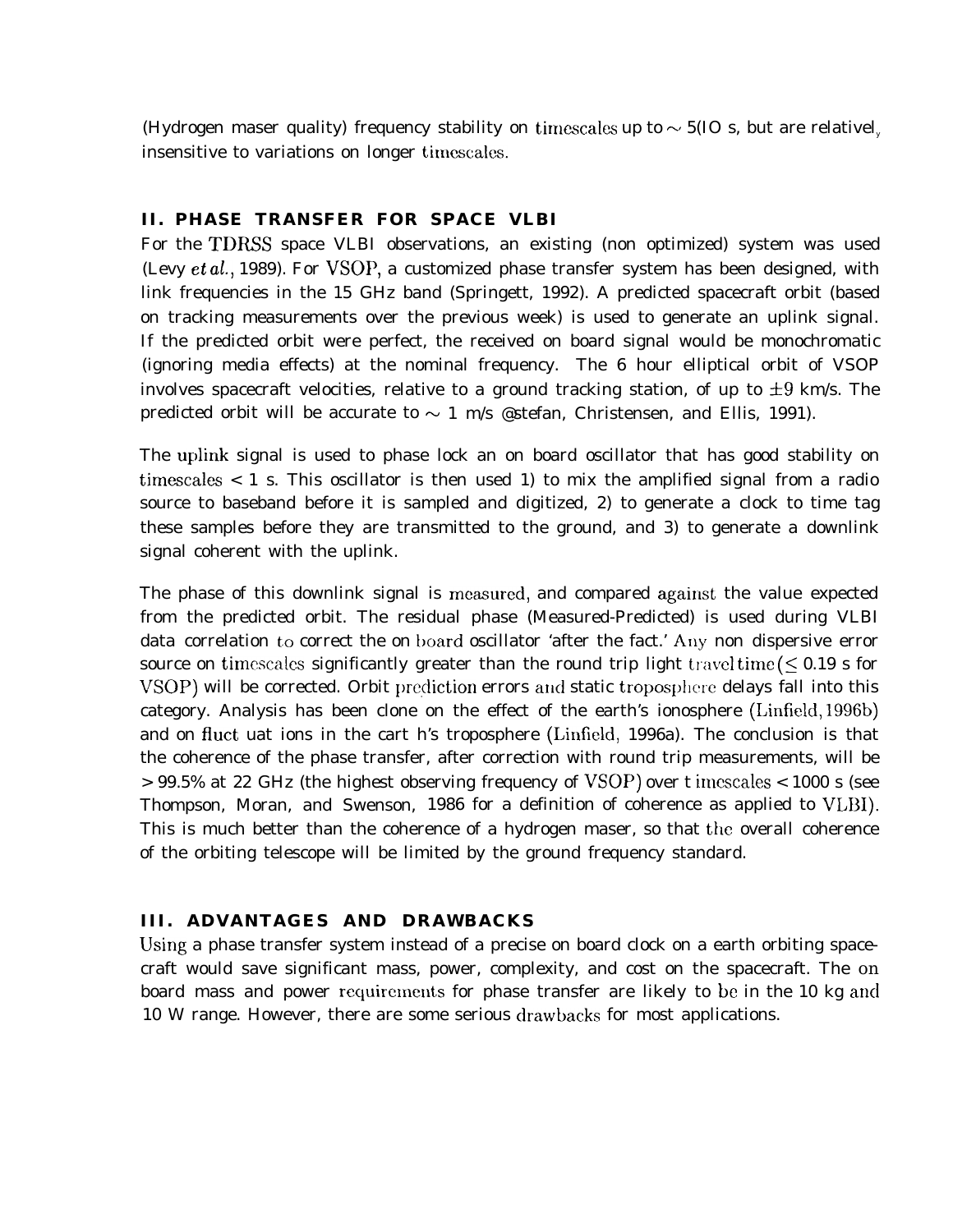(Hydrogen maser quality) frequency stability on timescales up to  $\sim$  5(IO s, but are relativel, insensitive to variations on longer timcscales.

#### **II. PHASE TRANSFER FOR SPACE VLBI**

For the TDRSS space VLBI observations, an existing (non optimized) system was used (Levy  $et al., 1989$ ). For VSOP, a customized phase transfer system has been designed, with link frequencies in the 15 GHz band (Springett, 1992). A predicted spacecraft orbit (based on tracking measurements over the previous week) is used to generate an uplink signal. If the predicted orbit were perfect, the received on board signal would be monochromatic (ignoring media effects) at the nominal frequency. The 6 hour elliptical orbit of VSOP involves spacecraft velocities, relative to a ground tracking station, of up to  $\pm 9$  km/s. The predicted orbit will be accurate to  $\sim 1$  m/s @stefan, Christensen, and Ellis, 1991).

The uplink signal is used to phase lock an on board oscillator that has good stability on timescales  $\langle 1 \rangle$  s. This oscillator is then used 1) to mix the amplified signal from a radio source to baseband before it is sampled and digitized, 2) to generate a clock to time tag these samples before they are transmitted to the ground, and 3) to generate a downlink signal coherent with the uplink.

The phase of this downlink signal is measured, and compared against the value expected from the predicted orbit. The residual phase (Measured-Predicted) is used during VLBI data correlation to correct the on board oscillator 'after the fact.' Any non dispersive error source on timescales significantly greater than the round trip light travel time ( $\leq 0.19$  s for VSOP) will be corrected. Orbit prediction errors and static troposphere delays fall into this category. Analysis has been clone on the effect of the earth's ionosphere (Linfield, 1996b) and on fluct uat ions in the cart h's troposphere (Linfield, 1996a). The conclusion is that the coherence of the phase transfer, after correction with round trip measurements, will be > 99.5% at 22 GHz (the highest observing frequency of VSOP) over t imcscales < 1000 s (see Thompson, Moran, and Swenson, 1986 for a definition of coherence as applied to VLB1). This is much better than the coherence of a hydrogen maser, so that the overall coherence of the orbiting telescope will be limited by the ground frequency standard.

## **III. ADVANTAGES AND DRAWBACKS**

Using a phase transfer system instead of a precise on board clock on a earth orbiting spacecraft would save significant mass, power, complexity, and cost on the spacecraft. The on board mass and power requirements for phase transfer are likely to be in the 10 kg and 10 W range. However, there are some serious drawbacks for most applications.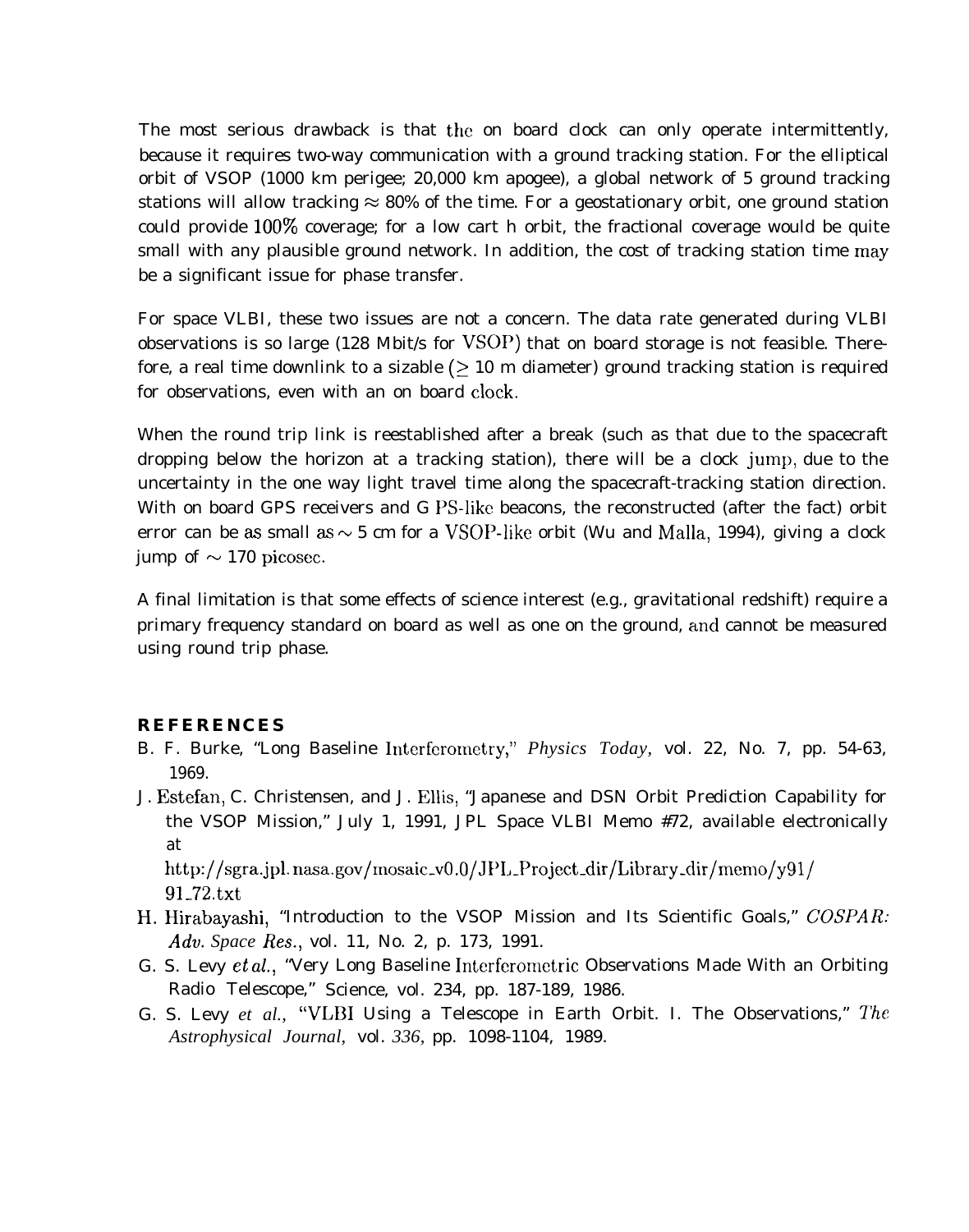The most serious drawback is that the on board clock can only operate intermittently, because it requires two-way communication with a ground tracking station. For the elliptical orbit of VSOP (1000 km perigee; 20,000 km apogee), a global network of 5 ground tracking stations will allow tracking  $\approx 80\%$  of the time. For a geostationary orbit, one ground station could provide  $100\%$  coverage; for a low cart h orbit, the fractional coverage would be quite small with any plausible ground network. In addition, the cost of tracking station time may be a significant issue for phase transfer.

For space VLBI, these two issues are not a concern. The data rate generated during VLBI observations is so large (128 Mbit/s for VSOP) that on board storage is not feasible. Therefore, a real time downlink to a sizable  $($  > 10 m diameter) ground tracking station is required for observations, even with an on board clock.

When the round trip link is reestablished after a break (such as that due to the spacecraft dropping below the horizon at a tracking station), there will be a clock jump, due to the uncertainty in the one way light travel time along the spacecraft-tracking station direction. With on board GPS receivers and G PS-like beacons, the reconstructed (after the fact) orbit error can be as small as  $\sim$  5 cm for a VSOP-like orbit (Wu and Malla, 1994), giving a clock jump of  $\sim$  170 picosec.

A final limitation is that some effects of science interest (e.g., gravitational redshift) require a primary frequency standard on board as well as one on the ground, ancl cannot be measured using round trip phase.

### **REFERENCES**

- B. F. Burke, "Long Baseline Interfcrometry," *Physics Today,* vol. 22, No. 7, pp. 54-63, 1969.
- J. Estefan, C. Christensen, and J. Ellis, "Japanese and DSN Orbit Prediction Capability for the VSOP Mission," July 1, 1991, JPL Space VLBI Memo #72, available electronically at http://sgra.jpl. nasa.gov/mosaic\_v0.0/JPL\_Project\_dir/Library\_dir/memo/y91/

91-72.txt

- H. Hirabayashi, "Introduction to the VSOP Mission and Its Scientific Goals," COSPAR: Adv. *Space Res.,* vol. 11, No. 2, p. 173, 1991.
- G. S. Levy et al., "Very Long Baseline Interferometric Observations Made With an Orbiting Radio Telescope," Science, vol. 234, pp. 187-189, 1986.
- G. S. Levy *et al.,* "VLBI Using a Telescope in Earth Orbit. I. The Observations," The *Astrophysical Journal,* vol. *336,* pp. 1098-1104, 1989.